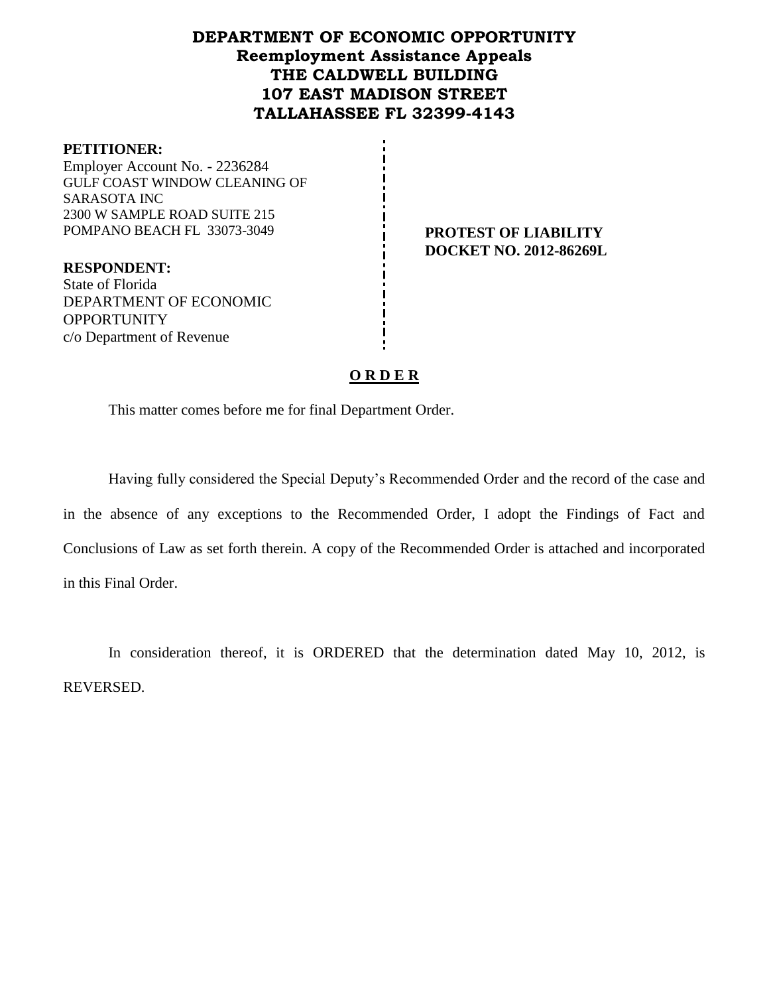## **DEPARTMENT OF ECONOMIC OPPORTUNITY Reemployment Assistance Appeals THE CALDWELL BUILDING 107 EAST MADISON STREET TALLAHASSEE FL 32399-4143**

#### **PETITIONER:**

Employer Account No. - 2236284 GULF COAST WINDOW CLEANING OF SARASOTA INC 2300 W SAMPLE ROAD SUITE 215 POMPANO BEACH FL 33073-3049 **PROTEST OF LIABILITY** 

**DOCKET NO. 2012-86269L**

**RESPONDENT:** State of Florida DEPARTMENT OF ECONOMIC **OPPORTUNITY** c/o Department of Revenue

#### **O R D E R**

This matter comes before me for final Department Order.

Having fully considered the Special Deputy's Recommended Order and the record of the case and in the absence of any exceptions to the Recommended Order, I adopt the Findings of Fact and Conclusions of Law as set forth therein. A copy of the Recommended Order is attached and incorporated in this Final Order.

In consideration thereof, it is ORDERED that the determination dated May 10, 2012, is REVERSED.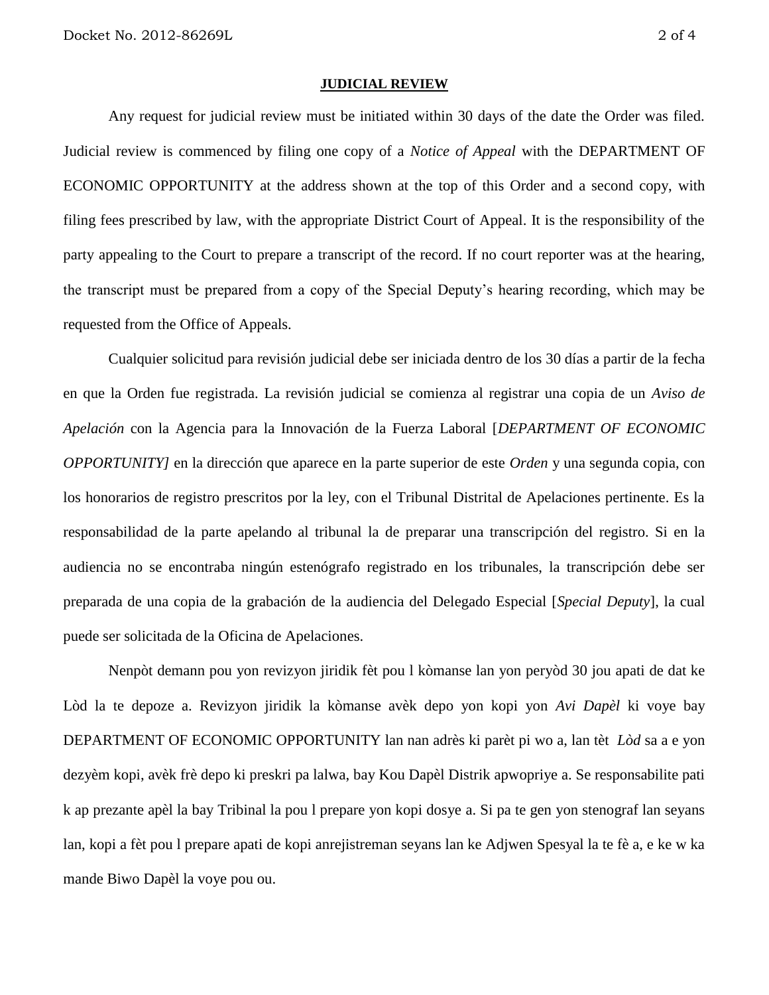#### **JUDICIAL REVIEW**

Any request for judicial review must be initiated within 30 days of the date the Order was filed. Judicial review is commenced by filing one copy of a *Notice of Appeal* with the DEPARTMENT OF ECONOMIC OPPORTUNITY at the address shown at the top of this Order and a second copy, with filing fees prescribed by law, with the appropriate District Court of Appeal. It is the responsibility of the party appealing to the Court to prepare a transcript of the record. If no court reporter was at the hearing, the transcript must be prepared from a copy of the Special Deputy's hearing recording, which may be requested from the Office of Appeals.

Cualquier solicitud para revisión judicial debe ser iniciada dentro de los 30 días a partir de la fecha en que la Orden fue registrada. La revisión judicial se comienza al registrar una copia de un *Aviso de Apelación* con la Agencia para la Innovación de la Fuerza Laboral [*DEPARTMENT OF ECONOMIC OPPORTUNITY]* en la dirección que aparece en la parte superior de este *Orden* y una segunda copia, con los honorarios de registro prescritos por la ley, con el Tribunal Distrital de Apelaciones pertinente. Es la responsabilidad de la parte apelando al tribunal la de preparar una transcripción del registro. Si en la audiencia no se encontraba ningún estenógrafo registrado en los tribunales, la transcripción debe ser preparada de una copia de la grabación de la audiencia del Delegado Especial [*Special Deputy*], la cual puede ser solicitada de la Oficina de Apelaciones.

Nenpòt demann pou yon revizyon jiridik fèt pou l kòmanse lan yon peryòd 30 jou apati de dat ke Lòd la te depoze a. Revizyon jiridik la kòmanse avèk depo yon kopi yon *Avi Dapèl* ki voye bay DEPARTMENT OF ECONOMIC OPPORTUNITY lan nan adrès ki parèt pi wo a, lan tèt *Lòd* sa a e yon dezyèm kopi, avèk frè depo ki preskri pa lalwa, bay Kou Dapèl Distrik apwopriye a. Se responsabilite pati k ap prezante apèl la bay Tribinal la pou l prepare yon kopi dosye a. Si pa te gen yon stenograf lan seyans lan, kopi a fèt pou l prepare apati de kopi anrejistreman seyans lan ke Adjwen Spesyal la te fè a, e ke w ka mande Biwo Dapèl la voye pou ou.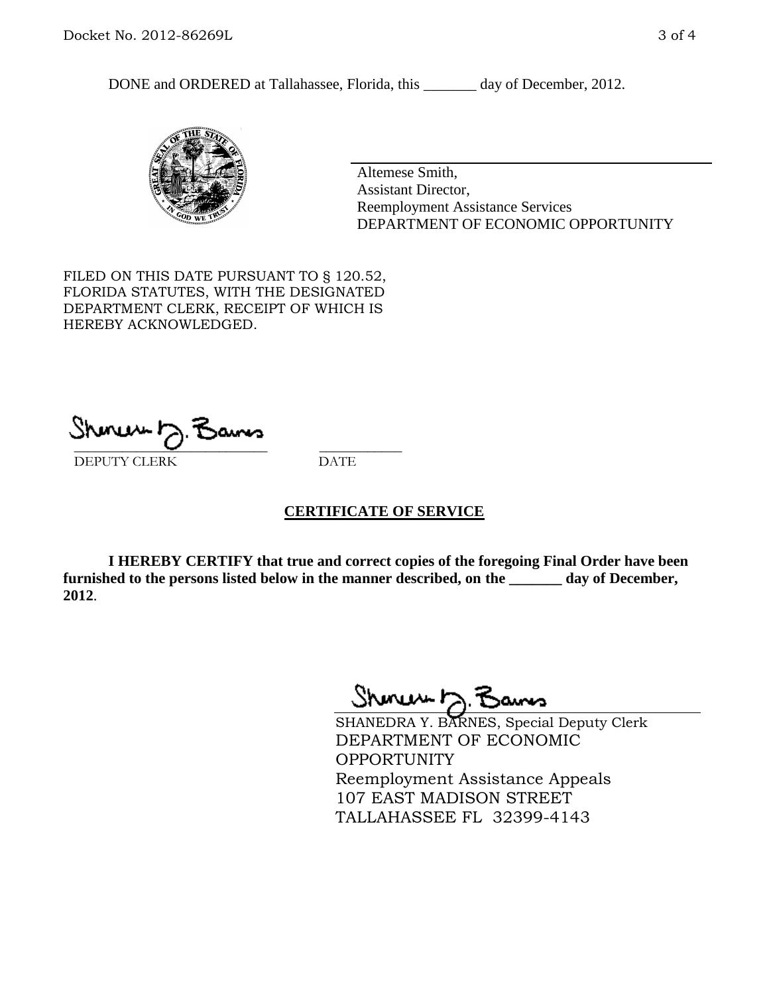DONE and ORDERED at Tallahassee, Florida, this \_\_\_\_\_\_\_ day of December, 2012.



Altemese Smith, Assistant Director, Reemployment Assistance Services DEPARTMENT OF ECONOMIC OPPORTUNITY

FILED ON THIS DATE PURSUANT TO § 120.52, FLORIDA STATUTES, WITH THE DESIGNATED DEPARTMENT CLERK, RECEIPT OF WHICH IS HEREBY ACKNOWLEDGED.

 $\overline{\phantom{a}}$  ,  $\overline{\phantom{a}}$  ,  $\overline{\phantom{a}}$  ,  $\overline{\phantom{a}}$  ,  $\overline{\phantom{a}}$  ,  $\overline{\phantom{a}}$  ,  $\overline{\phantom{a}}$  ,  $\overline{\phantom{a}}$ DEPUTY CLERK DATE

### **CERTIFICATE OF SERVICE**

**I HEREBY CERTIFY that true and correct copies of the foregoing Final Order have been furnished to the persons listed below in the manner described, on the \_\_\_\_\_\_\_ day of December, 2012**.

Shoner 5. Bans

SHANEDRA Y. BARNES, Special Deputy Clerk DEPARTMENT OF ECONOMIC OPPORTUNITY Reemployment Assistance Appeals 107 EAST MADISON STREET TALLAHASSEE FL 32399-4143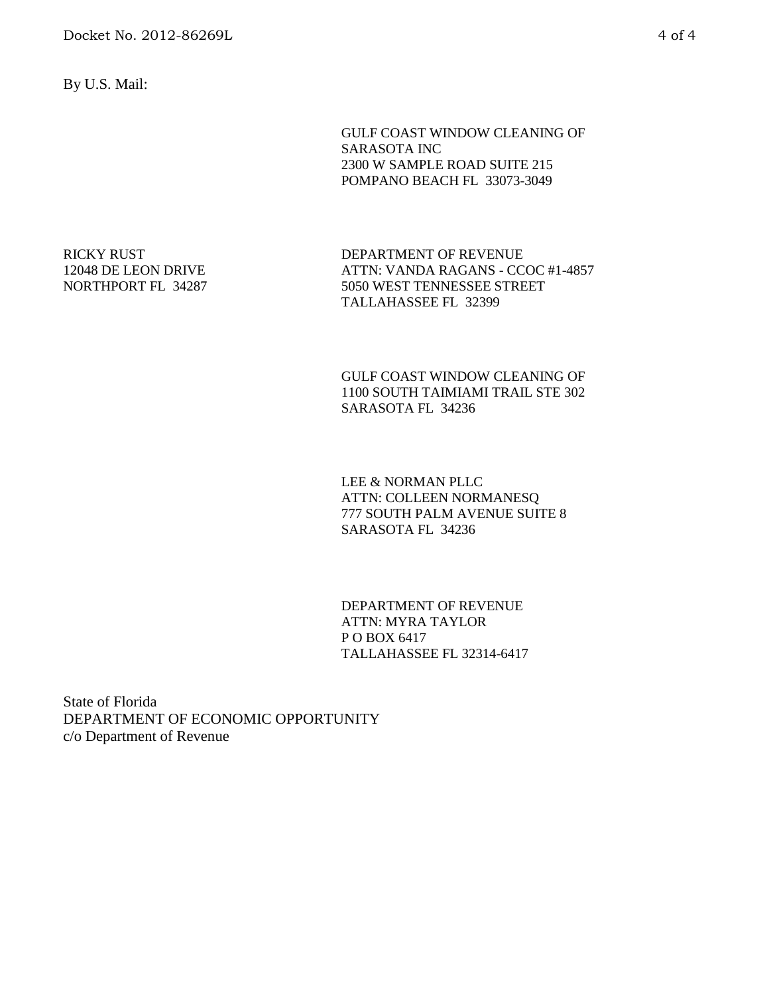By U.S. Mail:

GULF COAST WINDOW CLEANING OF SARASOTA INC 2300 W SAMPLE ROAD SUITE 215 POMPANO BEACH FL 33073-3049

RICKY RUST 12048 DE LEON DRIVE NORTHPORT FL 34287 DEPARTMENT OF REVENUE ATTN: VANDA RAGANS - CCOC #1-4857 5050 WEST TENNESSEE STREET TALLAHASSEE FL 32399

GULF COAST WINDOW CLEANING OF 1100 SOUTH TAIMIAMI TRAIL STE 302 SARASOTA FL 34236

LEE & NORMAN PLLC ATTN: COLLEEN NORMANESQ 777 SOUTH PALM AVENUE SUITE 8 SARASOTA FL 34236

DEPARTMENT OF REVENUE ATTN: MYRA TAYLOR P O BOX 6417 TALLAHASSEE FL 32314-6417

State of Florida DEPARTMENT OF ECONOMIC OPPORTUNITY c/o Department of Revenue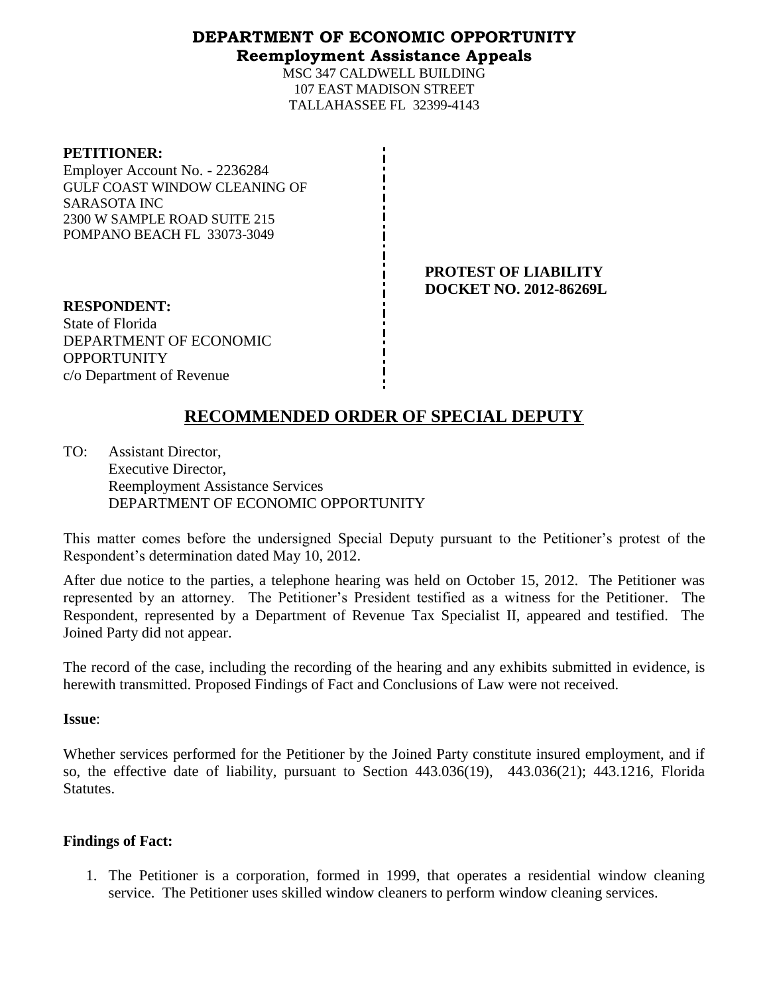## **DEPARTMENT OF ECONOMIC OPPORTUNITY Reemployment Assistance Appeals**

MSC 347 CALDWELL BUILDING 107 EAST MADISON STREET TALLAHASSEE FL 32399-4143

#### **PETITIONER:**

Employer Account No. - 2236284 GULF COAST WINDOW CLEANING OF SARASOTA INC 2300 W SAMPLE ROAD SUITE 215 POMPANO BEACH FL 33073-3049

> **PROTEST OF LIABILITY DOCKET NO. 2012-86269L**

**RESPONDENT:** State of Florida DEPARTMENT OF ECONOMIC **OPPORTUNITY** c/o Department of Revenue

# **RECOMMENDED ORDER OF SPECIAL DEPUTY**

TO: Assistant Director, Executive Director, Reemployment Assistance Services DEPARTMENT OF ECONOMIC OPPORTUNITY

This matter comes before the undersigned Special Deputy pursuant to the Petitioner's protest of the Respondent's determination dated May 10, 2012.

After due notice to the parties, a telephone hearing was held on October 15, 2012. The Petitioner was represented by an attorney. The Petitioner's President testified as a witness for the Petitioner. The Respondent, represented by a Department of Revenue Tax Specialist II, appeared and testified. The Joined Party did not appear.

The record of the case, including the recording of the hearing and any exhibits submitted in evidence, is herewith transmitted. Proposed Findings of Fact and Conclusions of Law were not received.

### **Issue**:

Whether services performed for the Petitioner by the Joined Party constitute insured employment, and if so, the effective date of liability, pursuant to Section 443.036(19), 443.036(21); 443.1216, Florida Statutes.

### **Findings of Fact:**

1. The Petitioner is a corporation, formed in 1999, that operates a residential window cleaning service. The Petitioner uses skilled window cleaners to perform window cleaning services.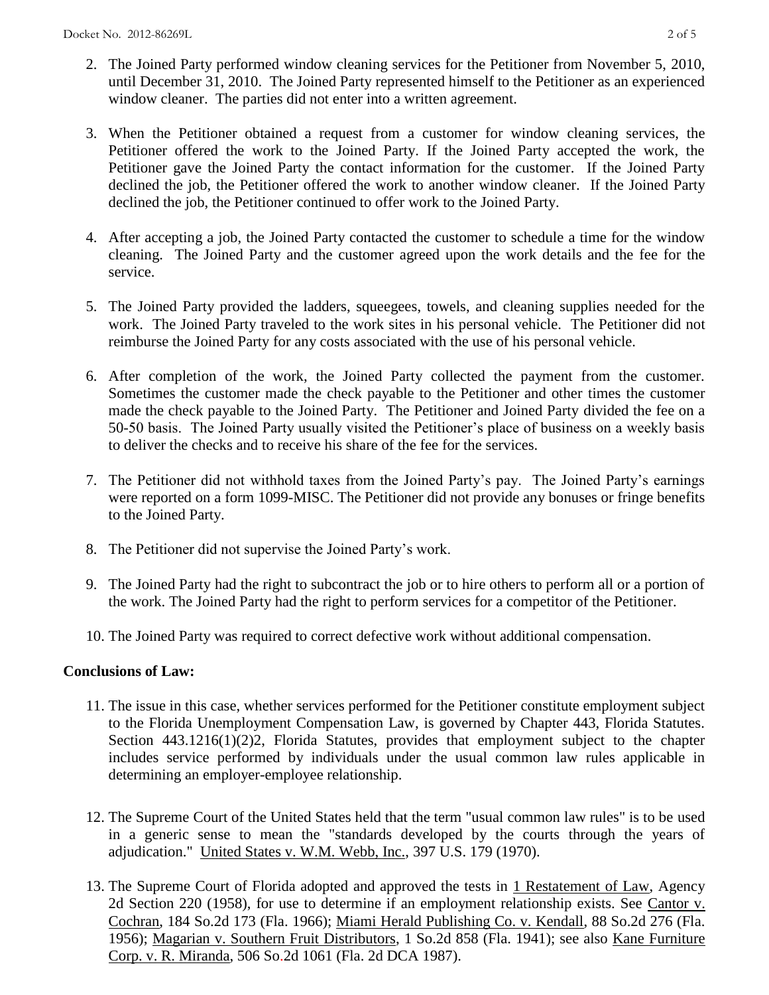- 2. The Joined Party performed window cleaning services for the Petitioner from November 5, 2010, until December 31, 2010. The Joined Party represented himself to the Petitioner as an experienced window cleaner. The parties did not enter into a written agreement.
- 3. When the Petitioner obtained a request from a customer for window cleaning services, the Petitioner offered the work to the Joined Party. If the Joined Party accepted the work, the Petitioner gave the Joined Party the contact information for the customer. If the Joined Party declined the job, the Petitioner offered the work to another window cleaner. If the Joined Party declined the job, the Petitioner continued to offer work to the Joined Party.
- 4. After accepting a job, the Joined Party contacted the customer to schedule a time for the window cleaning. The Joined Party and the customer agreed upon the work details and the fee for the service.
- 5. The Joined Party provided the ladders, squeegees, towels, and cleaning supplies needed for the work. The Joined Party traveled to the work sites in his personal vehicle. The Petitioner did not reimburse the Joined Party for any costs associated with the use of his personal vehicle.
- 6. After completion of the work, the Joined Party collected the payment from the customer. Sometimes the customer made the check payable to the Petitioner and other times the customer made the check payable to the Joined Party. The Petitioner and Joined Party divided the fee on a 50-50 basis. The Joined Party usually visited the Petitioner's place of business on a weekly basis to deliver the checks and to receive his share of the fee for the services.
- 7. The Petitioner did not withhold taxes from the Joined Party's pay. The Joined Party's earnings were reported on a form 1099-MISC. The Petitioner did not provide any bonuses or fringe benefits to the Joined Party.
- 8. The Petitioner did not supervise the Joined Party's work.
- 9. The Joined Party had the right to subcontract the job or to hire others to perform all or a portion of the work. The Joined Party had the right to perform services for a competitor of the Petitioner.
- 10. The Joined Party was required to correct defective work without additional compensation.

## **Conclusions of Law:**

- 11. The issue in this case, whether services performed for the Petitioner constitute employment subject to the Florida Unemployment Compensation Law, is governed by Chapter 443, Florida Statutes. Section 443.1216(1)(2)2, Florida Statutes, provides that employment subject to the chapter includes service performed by individuals under the usual common law rules applicable in determining an employer-employee relationship.
- 12. The Supreme Court of the United States held that the term "usual common law rules" is to be used in a generic sense to mean the "standards developed by the courts through the years of adjudication." United States v. W.M. Webb, Inc., 397 U.S. 179 (1970).
- 13. The Supreme Court of Florida adopted and approved the tests in 1 Restatement of Law, Agency 2d Section 220 (1958), for use to determine if an employment relationship exists. See Cantor v. Cochran, 184 So.2d 173 (Fla. 1966); Miami Herald Publishing Co. v. Kendall, 88 So.2d 276 (Fla. 1956); Magarian v. Southern Fruit Distributors, 1 So.2d 858 (Fla. 1941); see also Kane Furniture Corp. v. R. Miranda, 506 So.2d 1061 (Fla. 2d DCA 1987).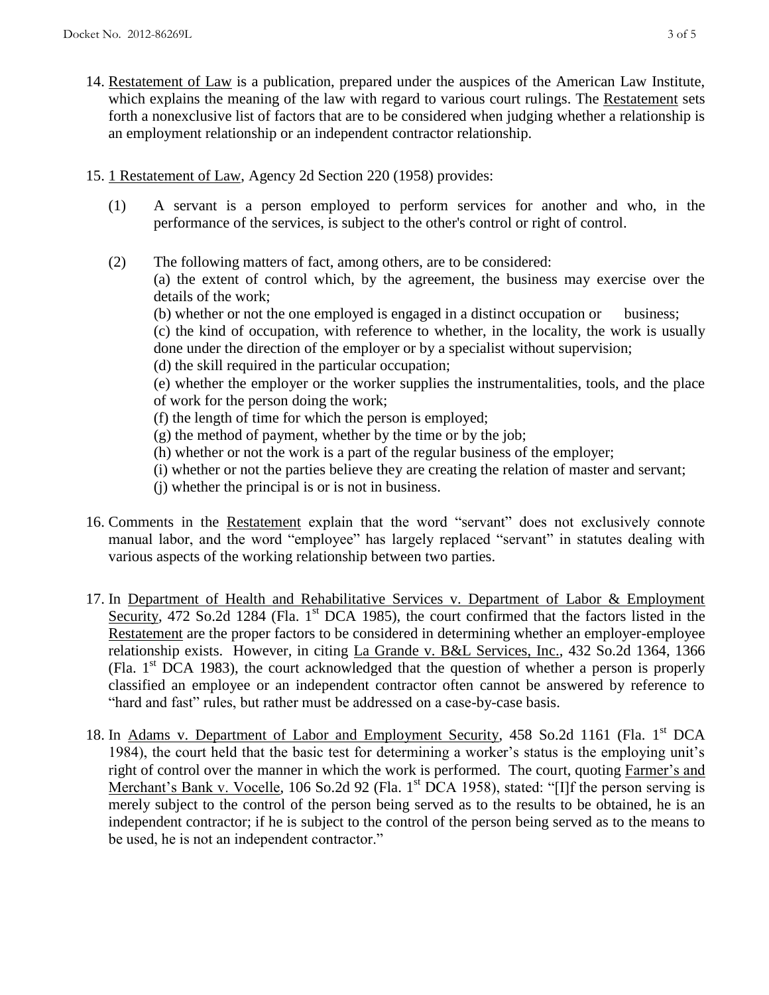- 14. Restatement of Law is a publication, prepared under the auspices of the American Law Institute, which explains the meaning of the law with regard to various court rulings. The Restatement sets forth a nonexclusive list of factors that are to be considered when judging whether a relationship is an employment relationship or an independent contractor relationship.
- 15. 1 Restatement of Law, Agency 2d Section 220 (1958) provides:
	- (1) A servant is a person employed to perform services for another and who, in the performance of the services, is subject to the other's control or right of control.
	- (2) The following matters of fact, among others, are to be considered: (a) the extent of control which, by the agreement, the business may exercise over the details of the work;
		- (b) whether or not the one employed is engaged in a distinct occupation or business;
		- (c) the kind of occupation, with reference to whether, in the locality, the work is usually done under the direction of the employer or by a specialist without supervision;
		- (d) the skill required in the particular occupation;

(e) whether the employer or the worker supplies the instrumentalities, tools, and the place of work for the person doing the work;

- (f) the length of time for which the person is employed;
- (g) the method of payment, whether by the time or by the job;
- (h) whether or not the work is a part of the regular business of the employer;
- (i) whether or not the parties believe they are creating the relation of master and servant;
- (j) whether the principal is or is not in business.
- 16. Comments in the Restatement explain that the word "servant" does not exclusively connote manual labor, and the word "employee" has largely replaced "servant" in statutes dealing with various aspects of the working relationship between two parties.
- 17. In Department of Health and Rehabilitative Services v. Department of Labor & Employment Security, 472 So.2d 1284 (Fla. 1<sup>st</sup> DCA 1985), the court confirmed that the factors listed in the Restatement are the proper factors to be considered in determining whether an employer-employee relationship exists. However, in citing La Grande v. B&L Services, Inc., 432 So.2d 1364, 1366 (Fla.  $1<sup>st</sup> DCA$  1983), the court acknowledged that the question of whether a person is properly classified an employee or an independent contractor often cannot be answered by reference to "hard and fast" rules, but rather must be addressed on a case-by-case basis.
- 18. In Adams v. Department of Labor and Employment Security, 458 So.2d 1161 (Fla. 1<sup>st</sup> DCA 1984), the court held that the basic test for determining a worker's status is the employing unit's right of control over the manner in which the work is performed. The court, quoting Farmer's and Merchant's Bank v. Vocelle, 106 So.2d 92 (Fla. 1<sup>st</sup> DCA 1958), stated: "[I]f the person serving is merely subject to the control of the person being served as to the results to be obtained, he is an independent contractor; if he is subject to the control of the person being served as to the means to be used, he is not an independent contractor."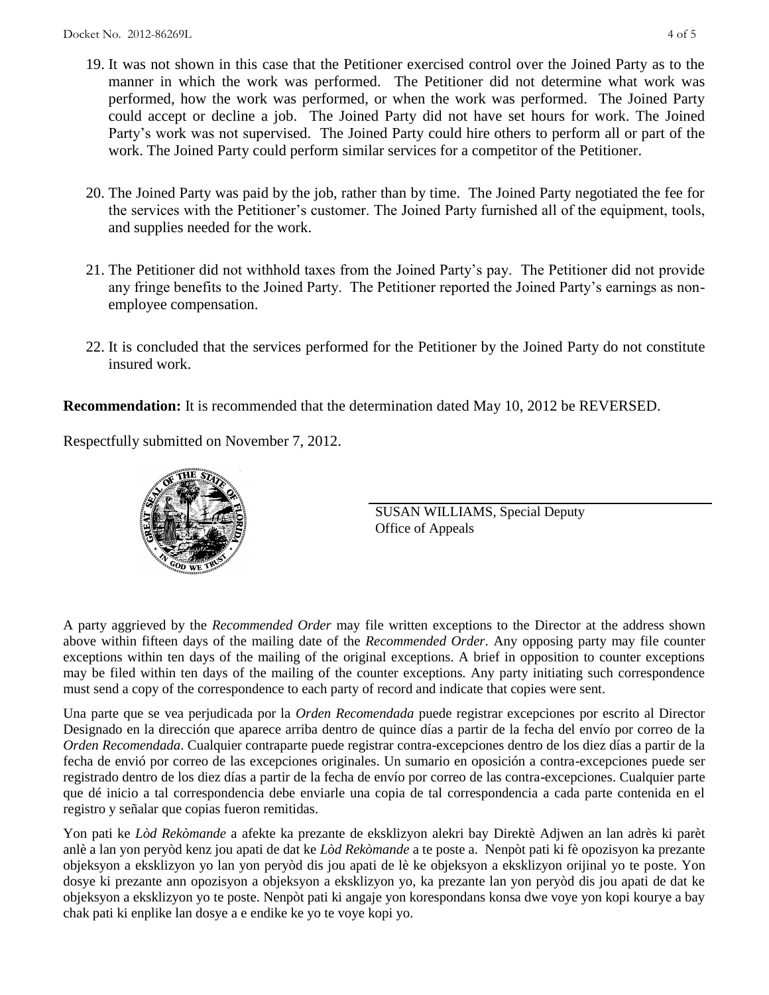- 19. It was not shown in this case that the Petitioner exercised control over the Joined Party as to the manner in which the work was performed. The Petitioner did not determine what work was performed, how the work was performed, or when the work was performed. The Joined Party could accept or decline a job. The Joined Party did not have set hours for work. The Joined Party's work was not supervised. The Joined Party could hire others to perform all or part of the work. The Joined Party could perform similar services for a competitor of the Petitioner.
- 20. The Joined Party was paid by the job, rather than by time. The Joined Party negotiated the fee for the services with the Petitioner's customer. The Joined Party furnished all of the equipment, tools, and supplies needed for the work.
- 21. The Petitioner did not withhold taxes from the Joined Party's pay. The Petitioner did not provide any fringe benefits to the Joined Party. The Petitioner reported the Joined Party's earnings as nonemployee compensation.
- 22. It is concluded that the services performed for the Petitioner by the Joined Party do not constitute insured work.

**Recommendation:** It is recommended that the determination dated May 10, 2012 be REVERSED.

Respectfully submitted on November 7, 2012.



SUSAN WILLIAMS, Special Deputy Office of Appeals

A party aggrieved by the *Recommended Order* may file written exceptions to the Director at the address shown above within fifteen days of the mailing date of the *Recommended Order*. Any opposing party may file counter exceptions within ten days of the mailing of the original exceptions. A brief in opposition to counter exceptions may be filed within ten days of the mailing of the counter exceptions. Any party initiating such correspondence must send a copy of the correspondence to each party of record and indicate that copies were sent.

Una parte que se vea perjudicada por la *Orden Recomendada* puede registrar excepciones por escrito al Director Designado en la dirección que aparece arriba dentro de quince días a partir de la fecha del envío por correo de la *Orden Recomendada*. Cualquier contraparte puede registrar contra-excepciones dentro de los diez días a partir de la fecha de envió por correo de las excepciones originales. Un sumario en oposición a contra-excepciones puede ser registrado dentro de los diez días a partir de la fecha de envío por correo de las contra-excepciones. Cualquier parte que dé inicio a tal correspondencia debe enviarle una copia de tal correspondencia a cada parte contenida en el registro y señalar que copias fueron remitidas.

Yon pati ke *Lòd Rekòmande* a afekte ka prezante de eksklizyon alekri bay Direktè Adjwen an lan adrès ki parèt anlè a lan yon peryòd kenz jou apati de dat ke *Lòd Rekòmande* a te poste a. Nenpòt pati ki fè opozisyon ka prezante objeksyon a eksklizyon yo lan yon peryòd dis jou apati de lè ke objeksyon a eksklizyon orijinal yo te poste. Yon dosye ki prezante ann opozisyon a objeksyon a eksklizyon yo, ka prezante lan yon peryòd dis jou apati de dat ke objeksyon a eksklizyon yo te poste. Nenpòt pati ki angaje yon korespondans konsa dwe voye yon kopi kourye a bay chak pati ki enplike lan dosye a e endike ke yo te voye kopi yo.